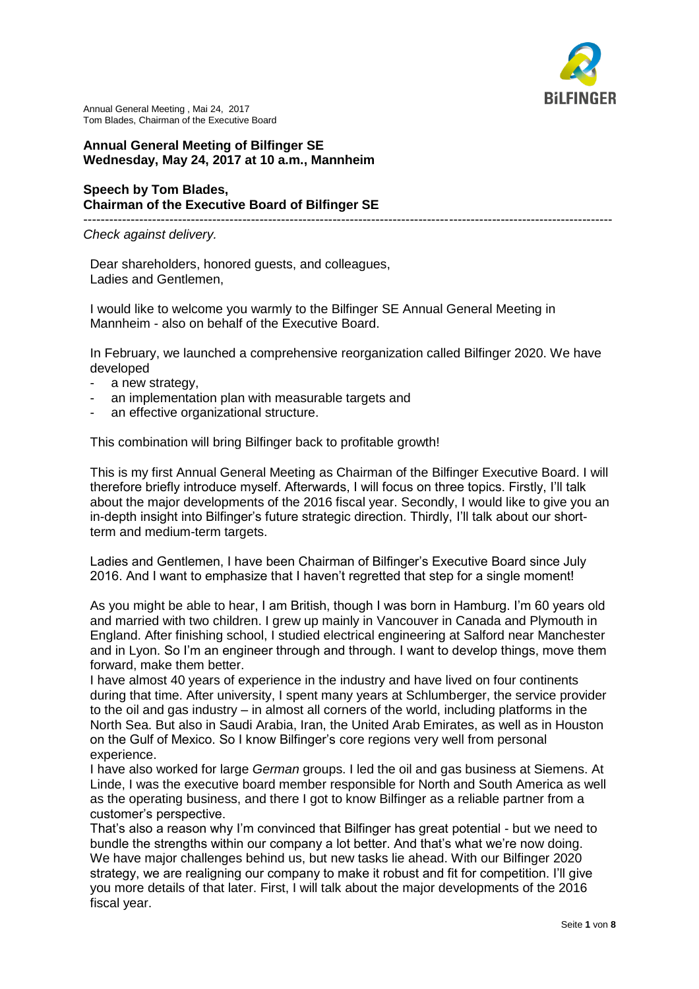

## **Annual General Meeting of Bilfinger SE Wednesday, May 24, 2017 at 10 a.m., Mannheim**

## **Speech by Tom Blades, Chairman of the Executive Board of Bilfinger SE**

--------------------------------------------------------------------------------------------------------------------------- *Check against delivery.*

Dear shareholders, honored guests, and colleagues, Ladies and Gentlemen,

I would like to welcome you warmly to the Bilfinger SE Annual General Meeting in Mannheim - also on behalf of the Executive Board.

In February, we launched a comprehensive reorganization called Bilfinger 2020. We have developed

- a new strategy.
- an implementation plan with measurable targets and
- an effective organizational structure.

This combination will bring Bilfinger back to profitable growth!

This is my first Annual General Meeting as Chairman of the Bilfinger Executive Board. I will therefore briefly introduce myself. Afterwards, I will focus on three topics. Firstly, I'll talk about the major developments of the 2016 fiscal year. Secondly, I would like to give you an in-depth insight into Bilfinger's future strategic direction. Thirdly, I'll talk about our shortterm and medium-term targets.

Ladies and Gentlemen, I have been Chairman of Bilfinger's Executive Board since July 2016. And I want to emphasize that I haven't regretted that step for a single moment!

As you might be able to hear, I am British, though I was born in Hamburg. I'm 60 years old and married with two children. I grew up mainly in Vancouver in Canada and Plymouth in England. After finishing school, I studied electrical engineering at Salford near Manchester and in Lyon. So I'm an engineer through and through. I want to develop things, move them forward, make them better.

I have almost 40 years of experience in the industry and have lived on four continents during that time. After university, I spent many years at Schlumberger, the service provider to the oil and gas industry – in almost all corners of the world, including platforms in the North Sea. But also in Saudi Arabia, Iran, the United Arab Emirates, as well as in Houston on the Gulf of Mexico. So I know Bilfinger's core regions very well from personal experience.

I have also worked for large *German* groups. I led the oil and gas business at Siemens. At Linde, I was the executive board member responsible for North and South America as well as the operating business, and there I got to know Bilfinger as a reliable partner from a customer's perspective.

That's also a reason why I'm convinced that Bilfinger has great potential - but we need to bundle the strengths within our company a lot better. And that's what we're now doing. We have major challenges behind us, but new tasks lie ahead. With our Bilfinger 2020 strategy, we are realigning our company to make it robust and fit for competition. I'll give you more details of that later. First, I will talk about the major developments of the 2016 fiscal year.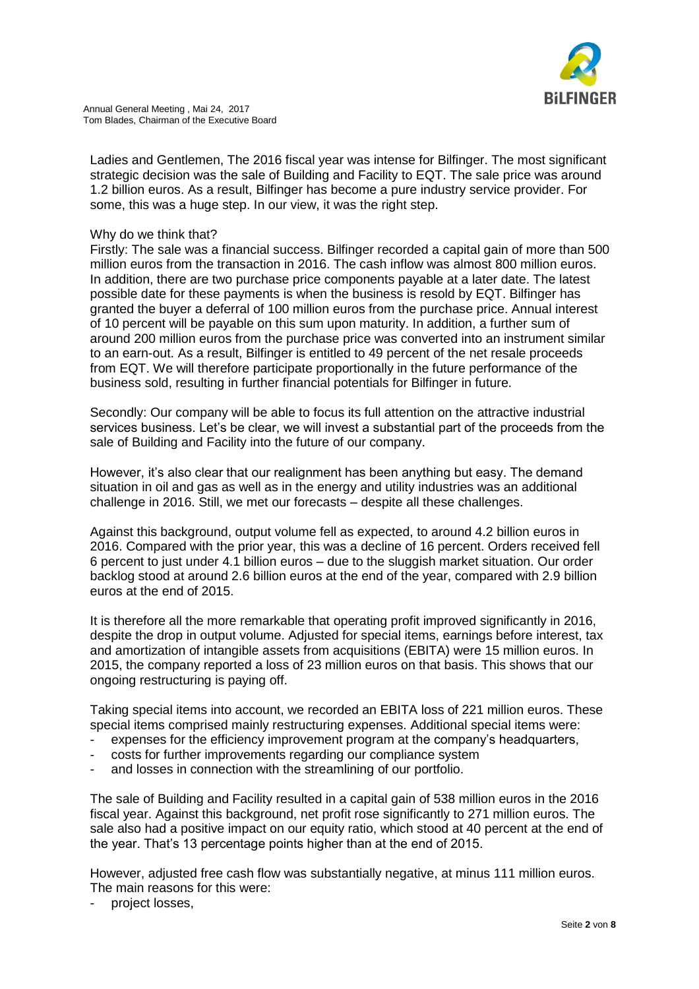

Ladies and Gentlemen, The 2016 fiscal year was intense for Bilfinger. The most significant strategic decision was the sale of Building and Facility to EQT. The sale price was around 1.2 billion euros. As a result, Bilfinger has become a pure industry service provider. For some, this was a huge step. In our view, it was the right step.

## Why do we think that?

Firstly: The sale was a financial success. Bilfinger recorded a capital gain of more than 500 million euros from the transaction in 2016. The cash inflow was almost 800 million euros. In addition, there are two purchase price components payable at a later date. The latest possible date for these payments is when the business is resold by EQT. Bilfinger has granted the buyer a deferral of 100 million euros from the purchase price. Annual interest of 10 percent will be payable on this sum upon maturity. In addition, a further sum of around 200 million euros from the purchase price was converted into an instrument similar to an earn-out. As a result, Bilfinger is entitled to 49 percent of the net resale proceeds from EQT. We will therefore participate proportionally in the future performance of the business sold, resulting in further financial potentials for Bilfinger in future.

Secondly: Our company will be able to focus its full attention on the attractive industrial services business. Let's be clear, we will invest a substantial part of the proceeds from the sale of Building and Facility into the future of our company.

However, it's also clear that our realignment has been anything but easy. The demand situation in oil and gas as well as in the energy and utility industries was an additional challenge in 2016. Still, we met our forecasts – despite all these challenges.

Against this background, output volume fell as expected, to around 4.2 billion euros in 2016. Compared with the prior year, this was a decline of 16 percent. Orders received fell 6 percent to just under 4.1 billion euros – due to the sluggish market situation. Our order backlog stood at around 2.6 billion euros at the end of the year, compared with 2.9 billion euros at the end of 2015.

It is therefore all the more remarkable that operating profit improved significantly in 2016, despite the drop in output volume. Adjusted for special items, earnings before interest, tax and amortization of intangible assets from acquisitions (EBITA) were 15 million euros. In 2015, the company reported a loss of 23 million euros on that basis. This shows that our ongoing restructuring is paying off.

Taking special items into account, we recorded an EBITA loss of 221 million euros. These special items comprised mainly restructuring expenses. Additional special items were:

- expenses for the efficiency improvement program at the company's headquarters,
- costs for further improvements regarding our compliance system
- and losses in connection with the streamlining of our portfolio.

The sale of Building and Facility resulted in a capital gain of 538 million euros in the 2016 fiscal year. Against this background, net profit rose significantly to 271 million euros. The sale also had a positive impact on our equity ratio, which stood at 40 percent at the end of the year. That's 13 percentage points higher than at the end of 2015.

However, adjusted free cash flow was substantially negative, at minus 111 million euros. The main reasons for this were:

project losses,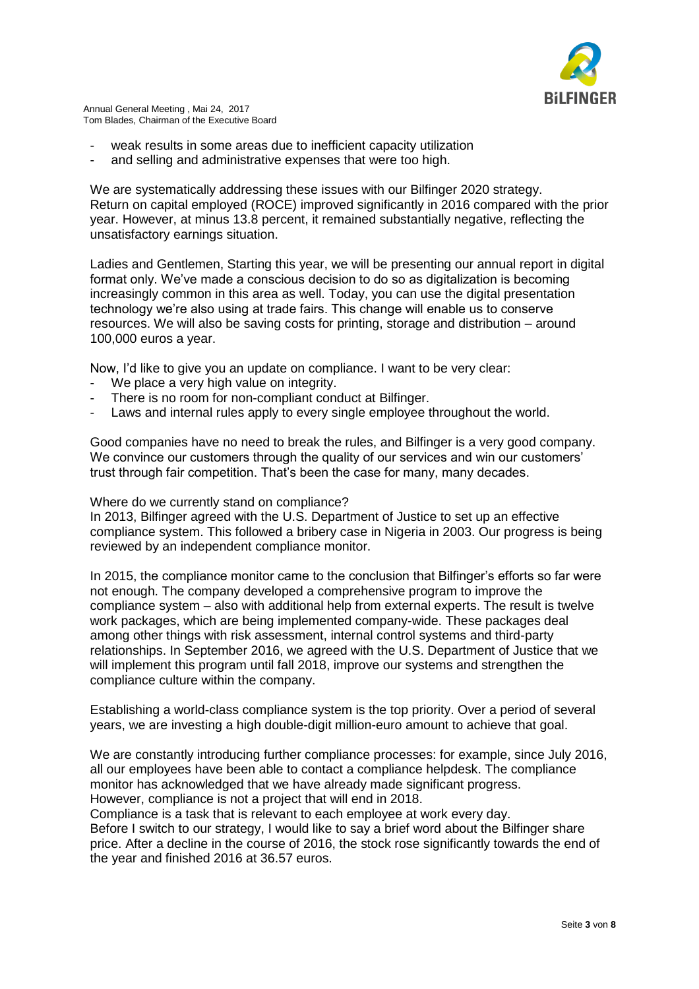

- weak results in some areas due to inefficient capacity utilization
- and selling and administrative expenses that were too high.

We are systematically addressing these issues with our Bilfinger 2020 strategy. Return on capital employed (ROCE) improved significantly in 2016 compared with the prior year. However, at minus 13.8 percent, it remained substantially negative, reflecting the unsatisfactory earnings situation.

Ladies and Gentlemen, Starting this year, we will be presenting our annual report in digital format only. We've made a conscious decision to do so as digitalization is becoming increasingly common in this area as well. Today, you can use the digital presentation technology we're also using at trade fairs. This change will enable us to conserve resources. We will also be saving costs for printing, storage and distribution – around 100,000 euros a year.

Now, I'd like to give you an update on compliance. I want to be very clear:

- We place a very high value on integrity.
- There is no room for non-compliant conduct at Bilfinger.
- Laws and internal rules apply to every single employee throughout the world.

Good companies have no need to break the rules, and Bilfinger is a very good company. We convince our customers through the quality of our services and win our customers' trust through fair competition. That's been the case for many, many decades.

Where do we currently stand on compliance?

In 2013, Bilfinger agreed with the U.S. Department of Justice to set up an effective compliance system. This followed a bribery case in Nigeria in 2003. Our progress is being reviewed by an independent compliance monitor.

In 2015, the compliance monitor came to the conclusion that Bilfinger's efforts so far were not enough. The company developed a comprehensive program to improve the compliance system – also with additional help from external experts. The result is twelve work packages, which are being implemented company-wide. These packages deal among other things with risk assessment, internal control systems and third-party relationships. In September 2016, we agreed with the U.S. Department of Justice that we will implement this program until fall 2018, improve our systems and strengthen the compliance culture within the company.

Establishing a world-class compliance system is the top priority. Over a period of several years, we are investing a high double-digit million-euro amount to achieve that goal.

We are constantly introducing further compliance processes: for example, since July 2016, all our employees have been able to contact a compliance helpdesk. The compliance monitor has acknowledged that we have already made significant progress. However, compliance is not a project that will end in 2018.

Compliance is a task that is relevant to each employee at work every day. Before I switch to our strategy, I would like to say a brief word about the Bilfinger share price. After a decline in the course of 2016, the stock rose significantly towards the end of the year and finished 2016 at 36.57 euros.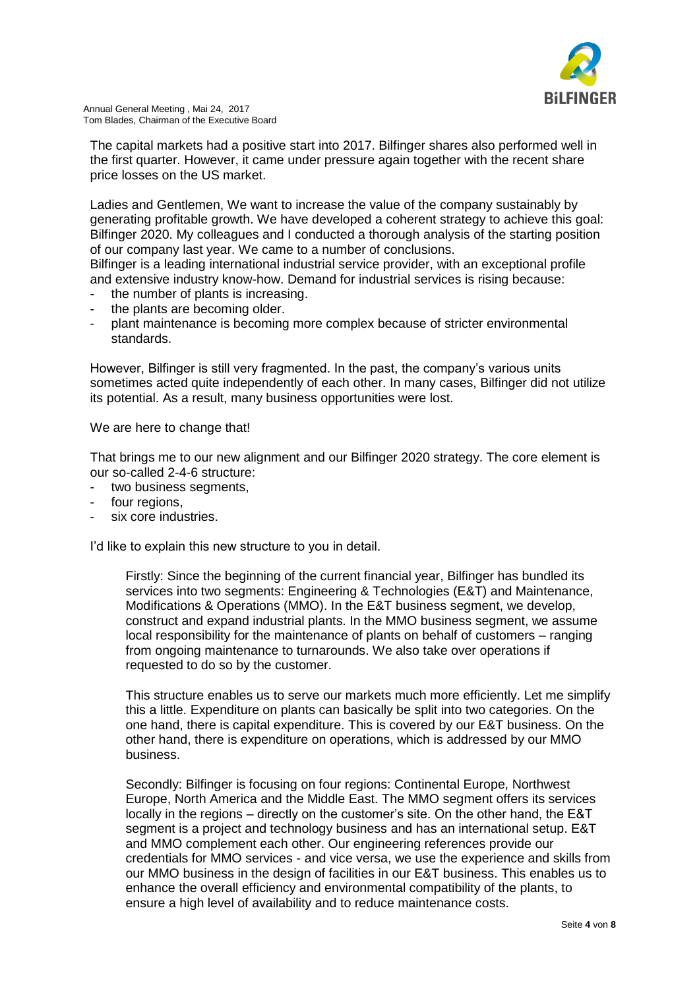

The capital markets had a positive start into 2017. Bilfinger shares also performed well in the first quarter. However, it came under pressure again together with the recent share price losses on the US market.

Ladies and Gentlemen, We want to increase the value of the company sustainably by generating profitable growth. We have developed a coherent strategy to achieve this goal: Bilfinger 2020. My colleagues and I conducted a thorough analysis of the starting position of our company last year. We came to a number of conclusions.

Bilfinger is a leading international industrial service provider, with an exceptional profile and extensive industry know-how. Demand for industrial services is rising because:

- the number of plants is increasing.
- the plants are becoming older.
- plant maintenance is becoming more complex because of stricter environmental standards.

However, Bilfinger is still very fragmented. In the past, the company's various units sometimes acted quite independently of each other. In many cases, Bilfinger did not utilize its potential. As a result, many business opportunities were lost.

We are here to change that!

That brings me to our new alignment and our Bilfinger 2020 strategy. The core element is our so-called 2-4-6 structure:

- two business seaments.
- four regions.
- six core industries.

I'd like to explain this new structure to you in detail.

Firstly: Since the beginning of the current financial year, Bilfinger has bundled its services into two segments: Engineering & Technologies (E&T) and Maintenance, Modifications & Operations (MMO). In the E&T business segment, we develop, construct and expand industrial plants. In the MMO business segment, we assume local responsibility for the maintenance of plants on behalf of customers – ranging from ongoing maintenance to turnarounds. We also take over operations if requested to do so by the customer.

This structure enables us to serve our markets much more efficiently. Let me simplify this a little. Expenditure on plants can basically be split into two categories. On the one hand, there is capital expenditure. This is covered by our E&T business. On the other hand, there is expenditure on operations, which is addressed by our MMO business.

Secondly: Bilfinger is focusing on four regions: Continental Europe, Northwest Europe, North America and the Middle East. The MMO segment offers its services locally in the regions – directly on the customer's site. On the other hand, the E&T segment is a project and technology business and has an international setup. E&T and MMO complement each other. Our engineering references provide our credentials for MMO services - and vice versa, we use the experience and skills from our MMO business in the design of facilities in our E&T business. This enables us to enhance the overall efficiency and environmental compatibility of the plants, to ensure a high level of availability and to reduce maintenance costs.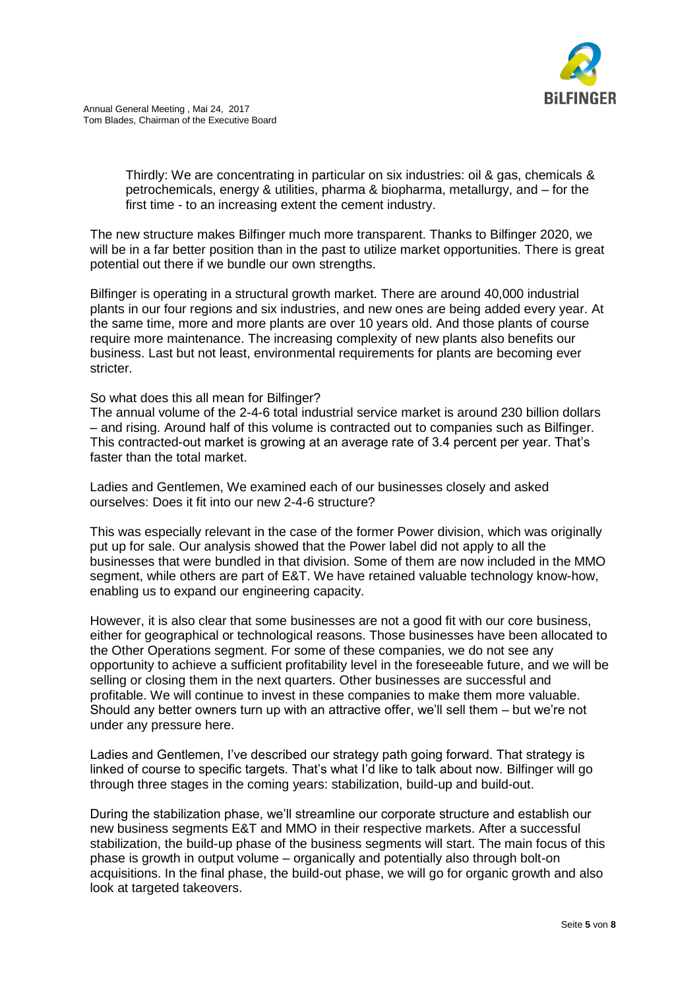

Thirdly: We are concentrating in particular on six industries: oil & gas, chemicals & petrochemicals, energy & utilities, pharma & biopharma, metallurgy, and – for the first time - to an increasing extent the cement industry.

The new structure makes Bilfinger much more transparent. Thanks to Bilfinger 2020, we will be in a far better position than in the past to utilize market opportunities. There is great potential out there if we bundle our own strengths.

Bilfinger is operating in a structural growth market. There are around 40,000 industrial plants in our four regions and six industries, and new ones are being added every year. At the same time, more and more plants are over 10 years old. And those plants of course require more maintenance. The increasing complexity of new plants also benefits our business. Last but not least, environmental requirements for plants are becoming ever stricter.

## So what does this all mean for Bilfinger?

The annual volume of the 2-4-6 total industrial service market is around 230 billion dollars – and rising. Around half of this volume is contracted out to companies such as Bilfinger. This contracted-out market is growing at an average rate of 3.4 percent per year. That's faster than the total market.

Ladies and Gentlemen, We examined each of our businesses closely and asked ourselves: Does it fit into our new 2-4-6 structure?

This was especially relevant in the case of the former Power division, which was originally put up for sale. Our analysis showed that the Power label did not apply to all the businesses that were bundled in that division. Some of them are now included in the MMO segment, while others are part of E&T. We have retained valuable technology know-how, enabling us to expand our engineering capacity.

However, it is also clear that some businesses are not a good fit with our core business, either for geographical or technological reasons. Those businesses have been allocated to the Other Operations segment. For some of these companies, we do not see any opportunity to achieve a sufficient profitability level in the foreseeable future, and we will be selling or closing them in the next quarters. Other businesses are successful and profitable. We will continue to invest in these companies to make them more valuable. Should any better owners turn up with an attractive offer, we'll sell them – but we're not under any pressure here.

Ladies and Gentlemen, I've described our strategy path going forward. That strategy is linked of course to specific targets. That's what I'd like to talk about now. Bilfinger will go through three stages in the coming years: stabilization, build-up and build-out.

During the stabilization phase, we'll streamline our corporate structure and establish our new business segments E&T and MMO in their respective markets. After a successful stabilization, the build-up phase of the business segments will start. The main focus of this phase is growth in output volume – organically and potentially also through bolt-on acquisitions. In the final phase, the build-out phase, we will go for organic growth and also look at targeted takeovers.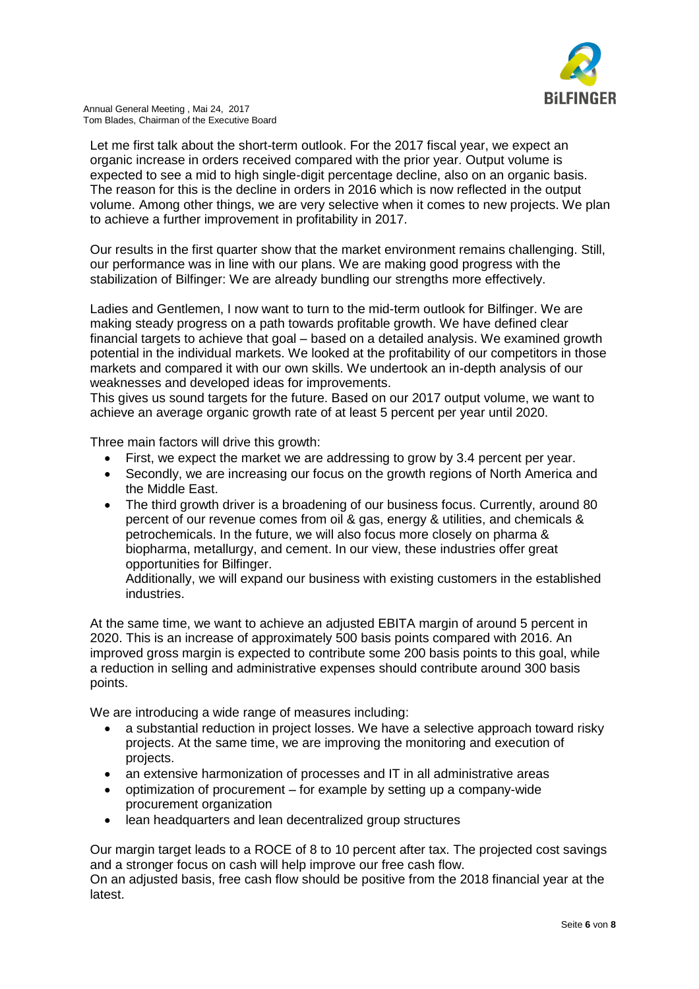

Let me first talk about the short-term outlook. For the 2017 fiscal year, we expect an organic increase in orders received compared with the prior year. Output volume is expected to see a mid to high single-digit percentage decline, also on an organic basis. The reason for this is the decline in orders in 2016 which is now reflected in the output volume. Among other things, we are very selective when it comes to new projects. We plan to achieve a further improvement in profitability in 2017.

Our results in the first quarter show that the market environment remains challenging. Still, our performance was in line with our plans. We are making good progress with the stabilization of Bilfinger: We are already bundling our strengths more effectively.

Ladies and Gentlemen, I now want to turn to the mid-term outlook for Bilfinger. We are making steady progress on a path towards profitable growth. We have defined clear financial targets to achieve that goal – based on a detailed analysis. We examined growth potential in the individual markets. We looked at the profitability of our competitors in those markets and compared it with our own skills. We undertook an in-depth analysis of our weaknesses and developed ideas for improvements.

This gives us sound targets for the future. Based on our 2017 output volume, we want to achieve an average organic growth rate of at least 5 percent per year until 2020.

Three main factors will drive this growth:

- First, we expect the market we are addressing to grow by 3.4 percent per year.
- Secondly, we are increasing our focus on the growth regions of North America and the Middle East.
- The third growth driver is a broadening of our business focus. Currently, around 80 percent of our revenue comes from oil & gas, energy & utilities, and chemicals & petrochemicals. In the future, we will also focus more closely on pharma & biopharma, metallurgy, and cement. In our view, these industries offer great opportunities for Bilfinger.

Additionally, we will expand our business with existing customers in the established industries.

At the same time, we want to achieve an adjusted EBITA margin of around 5 percent in 2020. This is an increase of approximately 500 basis points compared with 2016. An improved gross margin is expected to contribute some 200 basis points to this goal, while a reduction in selling and administrative expenses should contribute around 300 basis points.

We are introducing a wide range of measures including:

- a substantial reduction in project losses. We have a selective approach toward risky projects. At the same time, we are improving the monitoring and execution of projects.
- an extensive harmonization of processes and IT in all administrative areas
- optimization of procurement for example by setting up a company-wide procurement organization
- lean headquarters and lean decentralized group structures

Our margin target leads to a ROCE of 8 to 10 percent after tax. The projected cost savings and a stronger focus on cash will help improve our free cash flow.

On an adjusted basis, free cash flow should be positive from the 2018 financial year at the latest.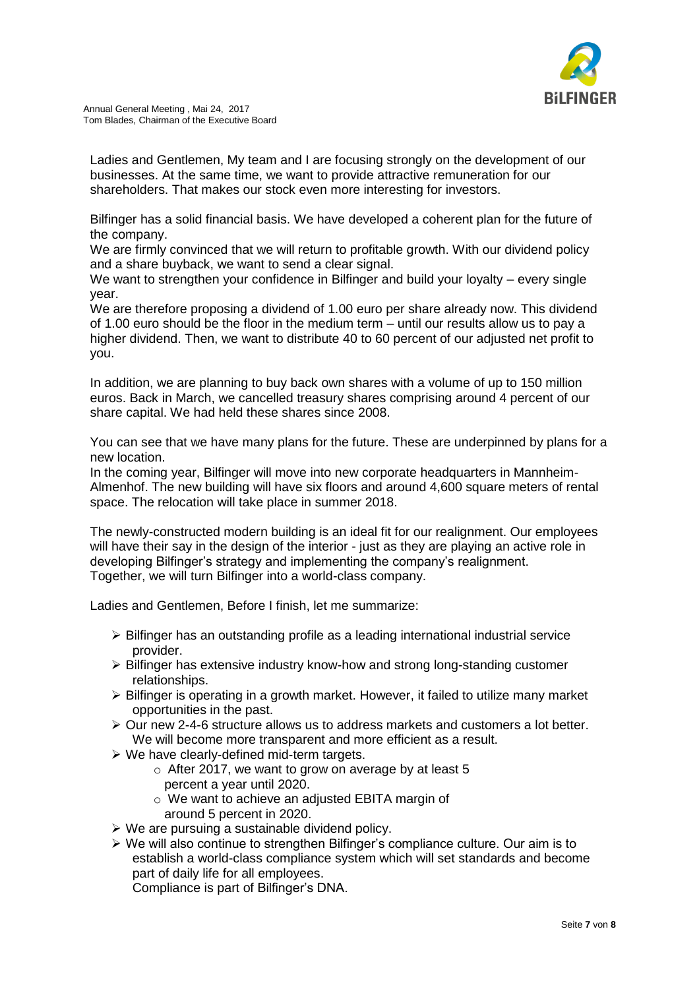

Ladies and Gentlemen, My team and I are focusing strongly on the development of our businesses. At the same time, we want to provide attractive remuneration for our shareholders. That makes our stock even more interesting for investors.

Bilfinger has a solid financial basis. We have developed a coherent plan for the future of the company.

We are firmly convinced that we will return to profitable growth. With our dividend policy and a share buyback, we want to send a clear signal.

We want to strengthen your confidence in Bilfinger and build your loyalty – every single year.

We are therefore proposing a dividend of 1.00 euro per share already now. This dividend of 1.00 euro should be the floor in the medium term – until our results allow us to pay a higher dividend. Then, we want to distribute 40 to 60 percent of our adjusted net profit to you.

In addition, we are planning to buy back own shares with a volume of up to 150 million euros. Back in March, we cancelled treasury shares comprising around 4 percent of our share capital. We had held these shares since 2008.

You can see that we have many plans for the future. These are underpinned by plans for a new location.

In the coming year, Bilfinger will move into new corporate headquarters in Mannheim-Almenhof. The new building will have six floors and around 4,600 square meters of rental space. The relocation will take place in summer 2018.

The newly-constructed modern building is an ideal fit for our realignment. Our employees will have their say in the design of the interior - just as they are playing an active role in developing Bilfinger's strategy and implementing the company's realignment. Together, we will turn Bilfinger into a world-class company.

Ladies and Gentlemen, Before I finish, let me summarize:

- $\triangleright$  Bilfinger has an outstanding profile as a leading international industrial service provider.
- $\triangleright$  Bilfinger has extensive industry know-how and strong long-standing customer relationships.
- $\triangleright$  Bilfinger is operating in a growth market. However, it failed to utilize many market opportunities in the past.
- $\triangleright$  Our new 2-4-6 structure allows us to address markets and customers a lot better. We will become more transparent and more efficient as a result.
- $\triangleright$  We have clearly-defined mid-term targets.
	- $\circ$  After 2017, we want to grow on average by at least 5 percent a year until 2020.
	- o We want to achieve an adjusted EBITA margin of around 5 percent in 2020.
- $\triangleright$  We are pursuing a sustainable dividend policy.
- We will also continue to strengthen Bilfinger's compliance culture. Our aim is to establish a world-class compliance system which will set standards and become part of daily life for all employees.

Compliance is part of Bilfinger's DNA.